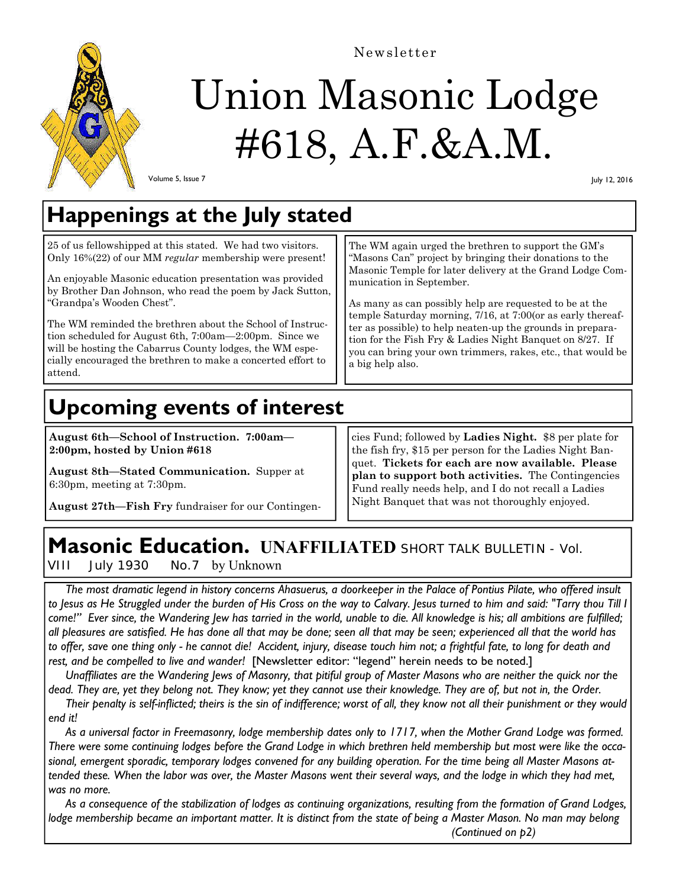

# Union Masonic Lodge #618, A.F.&A.M.

Newsletter

Volume 5, Issue 7

July 12, 2016

## **Happenings at the July stated**

25 of us fellowshipped at this stated. We had two visitors. Only 16%(22) of our MM *regular* membership were present!

An enjoyable Masonic education presentation was provided by Brother Dan Johnson, who read the poem by Jack Sutton, "Grandpa's Wooden Chest".

The WM reminded the brethren about the School of Instruction scheduled for August 6th, 7:00am—2:00pm. Since we will be hosting the Cabarrus County lodges, the WM especially encouraged the brethren to make a concerted effort to attend.

The WM again urged the brethren to support the GM's "Masons Can" project by bringing their donations to the Masonic Temple for later delivery at the Grand Lodge Communication in September.

As many as can possibly help are requested to be at the temple Saturday morning, 7/16, at 7:00(or as early thereafter as possible) to help neaten-up the grounds in preparation for the Fish Fry & Ladies Night Banquet on 8/27. If you can bring your own trimmers, rakes, etc., that would be a big help also.

## **Upcoming events of interest**

**August 6th—School of Instruction. 7:00am— 2:00pm, hosted by Union #618** 

**August 8th—Stated Communication.** Supper at 6:30pm, meeting at 7:30pm.

**August 27th—Fish Fry** fundraiser for our Contingen-

cies Fund; followed by **Ladies Night.** \$8 per plate for the fish fry, \$15 per person for the Ladies Night Banquet. **Tickets for each are now available. Please plan to support both activities.** The Contingencies Fund really needs help, and I do not recall a Ladies Night Banquet that was not thoroughly enjoyed.

## **Masonic Education. UNAFFILIATED SHORT TALK BULLETIN - Vol.**

VIII July 1930 No.7 by Unknown

 *The most dramatic legend in history concerns Ahasuerus, a doorkeeper in the Palace of Pontius Pilate, who offered insult to Jesus as He Struggled under the burden of His Cross on the way to Calvary. Jesus turned to him and said: "Tarry thou Till I come!" Ever since, the Wandering Jew has tarried in the world, unable to die. All knowledge is his; all ambitions are fulfilled; all pleasures are satisfied. He has done all that may be done; seen all that may be seen; experienced all that the world has to offer, save one thing only - he cannot die! Accident, injury, disease touch him not; a frightful fate, to long for death and rest, and be compelled to live and wander!* [Newsletter editor: "legend" herein needs to be noted.]

 *Unaffiliates are the Wandering Jews of Masonry, that pitiful group of Master Masons who are neither the quick nor the dead. They are, yet they belong not. They know; yet they cannot use their knowledge. They are of, but not in, the Order.* 

 *Their penalty is self-inflicted; theirs is the sin of indifference; worst of all, they know not all their punishment or they would end it!* 

 *As a universal factor in Freemasonry, lodge membership dates only to 1717, when the Mother Grand Lodge was formed. There were some continuing lodges before the Grand Lodge in which brethren held membership but most were like the occasional, emergent sporadic, temporary lodges convened for any building operation. For the time being all Master Masons attended these. When the labor was over, the Master Masons went their several ways, and the lodge in which they had met, was no more.* 

 *As a consequence of the stabilization of lodges as continuing organizations, resulting from the formation of Grand Lodges,*  lodge membership became an important matter. It is distinct from the state of being a Master Mason. No man may belong  *(Continued on p2)*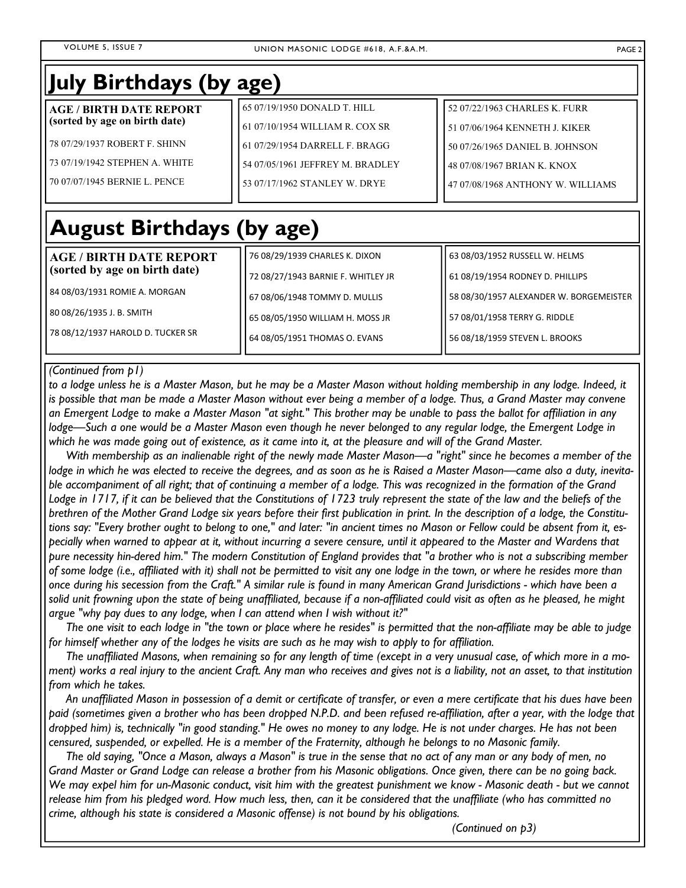| July Birthdays (by age)          |                                    |                                         |
|----------------------------------|------------------------------------|-----------------------------------------|
| <b>AGE / BIRTH DATE REPORT</b>   | 65 07/19/1950 DONALD T. HILL       | 52 07/22/1963 CHARLES K. FURR           |
| (sorted by age on birth date)    | 61 07/10/1954 WILLIAM R. COX SR    | 51 07/06/1964 KENNETH J. KIKER          |
| 78 07/29/1937 ROBERT F. SHINN    | 61 07/29/1954 DARRELL F. BRAGG     | 50 07/26/1965 DANIEL B. JOHNSON         |
| 73 07/19/1942 STEPHEN A. WHITE   | 54 07/05/1961 JEFFREY M. BRADLEY   | 48 07/08/1967 BRIAN K. KNOX             |
| 70 07/07/1945 BERNIE L. PENCE    | 53 07/17/1962 STANLEY W. DRYE      | 47 07/08/1968 ANTHONY W. WILLIAMS       |
| <b>August Birthdays (by age)</b> |                                    |                                         |
| <b>AGE / BIRTH DATE REPORT</b>   | 76 08/29/1939 CHARLES K. DIXON     | 63 08/03/1952 RUSSELL W. HELMS          |
| (sorted by age on birth date)    | 72 08/27/1943 BARNIE F. WHITLEY JR | 61 08/19/1954 RODNEY D. PHILLIPS        |
| 84 08/03/1931 ROMIE A. MORGAN    | 67 08/06/1948 TOMMY D. MULLIS      | 58 08/30/1957 ALEXANDER W. BORGEMEISTER |
| 80 08/26/1935 J. B. SMITH        | 65 08/05/1950 WILLIAM H. MOSS JR   | 57 08/01/1958 TERRY G. RIDDLE           |

#### *(Continued from p1)*

78 08/12/1937 HAROLD D. TUCKER SR

*to a lodge unless he is a Master Mason, but he may be a Master Mason without holding membership in any lodge. Indeed, it is possible that man be made a Master Mason without ever being a member of a lodge. Thus, a Grand Master may convene an Emergent Lodge to make a Master Mason "at sight." This brother may be unable to pass the ballot for affiliation in any lodge—Such a one would be a Master Mason even though he never belonged to any regular lodge, the Emergent Lodge in*  which he was made going out of existence, as it came into it, at the pleasure and will of the Grand Master.

64 08/05/1951 THOMAS O. EVANS

 *With membership as an inalienable right of the newly made Master Mason—a "right" since he becomes a member of the lodge in which he was elected to receive the degrees, and as soon as he is Raised a Master Mason—came also a duty, inevitable accompaniment of all right; that of continuing a member of a lodge. This was recognized in the formation of the Grand Lodge in 1717, if it can be believed that the Constitutions of 1723 truly represent the state of the law and the beliefs of the brethren of the Mother Grand Lodge six years before their first publication in print. In the description of a lodge, the Constitutions say: "Every brother ought to belong to one," and later: "in ancient times no Mason or Fellow could be absent from it, especially when warned to appear at it, without incurring a severe censure, until it appeared to the Master and Wardens that pure necessity hin-dered him." The modern Constitution of England provides that "a brother who is not a subscribing member of some lodge (i.e., affiliated with it) shall not be permitted to visit any one lodge in the town, or where he resides more than once during his secession from the Craft." A similar rule is found in many American Grand Jurisdictions - which have been a solid unit frowning upon the state of being unaffiliated, because if a non-affiliated could visit as often as he pleased, he might argue "why pay dues to any lodge, when I can attend when I wish without it?"* 

 *The one visit to each lodge in "the town or place where he resides" is permitted that the non-affiliate may be able to judge*  for himself whether any of the lodges he visits are such as he may wish to apply to for affiliation.

 *The unaffiliated Masons, when remaining so for any length of time (except in a very unusual case, of which more in a moment) works a real injury to the ancient Craft. Any man who receives and gives not is a liability, not an asset, to that institution from which he takes.* 

 *An unaffiliated Mason in possession of a demit or certificate of transfer, or even a mere certificate that his dues have been paid (sometimes given a brother who has been dropped N.P.D. and been refused re-affiliation, after a year, with the lodge that dropped him) is, technically "in good standing." He owes no money to any lodge. He is not under charges. He has not been censured, suspended, or expelled. He is a member of the Fraternity, although he belongs to no Masonic family.* 

 *The old saying, "Once a Mason, always a Mason" is true in the sense that no act of any man or any body of men, no Grand Master or Grand Lodge can release a brother from his Masonic obligations. Once given, there can be no going back. We may expel him for un-Masonic conduct, visit him with the greatest punishment we know - Masonic death - but we cannot release him from his pledged word. How much less, then, can it be considered that the unaffiliate (who has committed no crime, although his state is considered a Masonic offense) is not bound by his obligations.* 

 *(Continued on p3)* 

56 08/18/1959 STEVEN L. BROOKS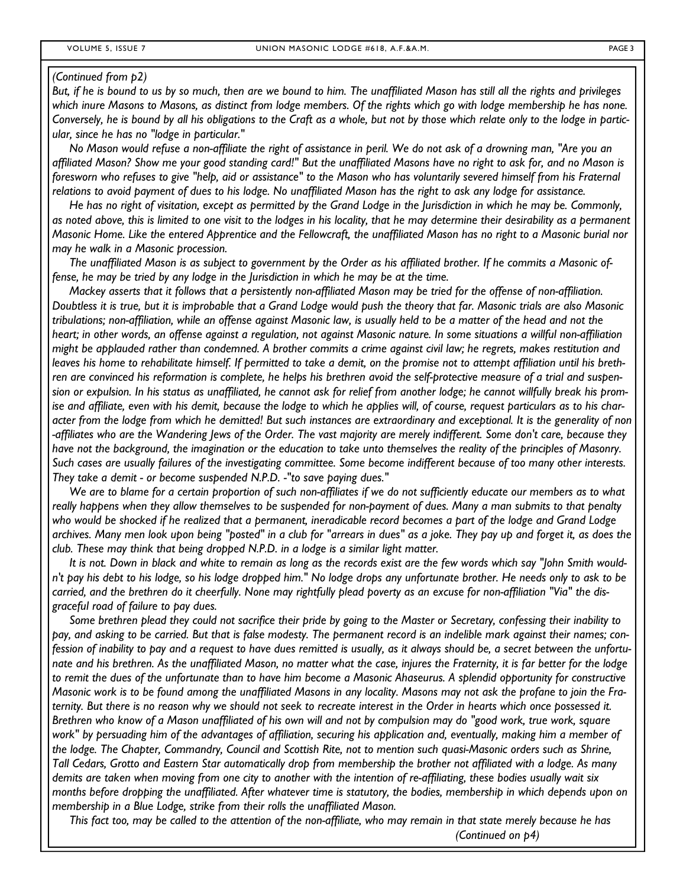#### *(Continued from p2)*

*But, if he is bound to us by so much, then are we bound to him. The unaffiliated Mason has still all the rights and privileges which inure Masons to Masons, as distinct from lodge members. Of the rights which go with lodge membership he has none. Conversely, he is bound by all his obligations to the Craft as a whole, but not by those which relate only to the lodge in particular, since he has no "lodge in particular."* 

 *No Mason would refuse a non-affiliate the right of assistance in peril. We do not ask of a drowning man, "Are you an affiliated Mason? Show me your good standing card!" But the unaffiliated Masons have no right to ask for, and no Mason is foresworn who refuses to give "help, aid or assistance" to the Mason who has voluntarily severed himself from his Fraternal relations to avoid payment of dues to his lodge. No unaffiliated Mason has the right to ask any lodge for assistance.* 

 *He has no right of visitation, except as permitted by the Grand Lodge in the Jurisdiction in which he may be. Commonly, as noted above, this is limited to one visit to the lodges in his locality, that he may determine their desirability as a permanent Masonic Home. Like the entered Apprentice and the Fellowcraft, the unaffiliated Mason has no right to a Masonic burial nor may he walk in a Masonic procession.* 

 *The unaffiliated Mason is as subject to government by the Order as his affiliated brother. If he commits a Masonic offense, he may be tried by any lodge in the Jurisdiction in which he may be at the time.* 

 *Mackey asserts that it follows that a persistently non-affiliated Mason may be tried for the offense of non-affiliation. Doubtless it is true, but it is improbable that a Grand Lodge would push the theory that far. Masonic trials are also Masonic tribulations; non-affiliation, while an offense against Masonic law, is usually held to be a matter of the head and not the heart; in other words, an offense against a regulation, not against Masonic nature. In some situations a willful non-affiliation might be applauded rather than condemned. A brother commits a crime against civil law; he regrets, makes restitution and leaves his home to rehabilitate himself. If permitted to take a demit, on the promise not to attempt affiliation until his brethren are convinced his reformation is complete, he helps his brethren avoid the self-protective measure of a trial and suspension or expulsion. In his status as unaffiliated, he cannot ask for relief from another lodge; he cannot willfully break his promise and affiliate, even with his demit, because the lodge to which he applies will, of course, request particulars as to his character from the lodge from which he demitted! But such instances are extraordinary and exceptional. It is the generality of non -affiliates who are the Wandering Jews of the Order. The vast majority are merely indifferent. Some don't care, because they have not the background, the imagination or the education to take unto themselves the reality of the principles of Masonry. Such cases are usually failures of the investigating committee. Some become indifferent because of too many other interests. They take a demit - or become suspended N.P.D. -"to save paying dues."* 

 *We are to blame for a certain proportion of such non-affiliates if we do not sufficiently educate our members as to what*  really happens when they allow themselves to be suspended for non-payment of dues. Many a man submits to that penalty *who would be shocked if he realized that a permanent, ineradicable record becomes a part of the lodge and Grand Lodge archives. Many men look upon being "posted" in a club for "arrears in dues" as a joke. They pay up and forget it, as does the club. These may think that being dropped N.P.D. in a lodge is a similar light matter.* 

 *It is not. Down in black and white to remain as long as the records exist are the few words which say "John Smith wouldn't pay his debt to his lodge, so his lodge dropped him." No lodge drops any unfortunate brother. He needs only to ask to be carried, and the brethren do it cheerfully. None may rightfully plead poverty as an excuse for non-affiliation "Via" the disgraceful road of failure to pay dues.* 

 *Some brethren plead they could not sacrifice their pride by going to the Master or Secretary, confessing their inability to pay, and asking to be carried. But that is false modesty. The permanent record is an indelible mark against their names; confession of inability to pay and a request to have dues remitted is usually, as it always should be, a secret between the unfortunate and his brethren. As the unaffiliated Mason, no matter what the case, injures the Fraternity, it is far better for the lodge to remit the dues of the unfortunate than to have him become a Masonic Ahaseurus. A splendid opportunity for constructive Masonic work is to be found among the unaffiliated Masons in any locality. Masons may not ask the profane to join the Fraternity. But there is no reason why we should not seek to recreate interest in the Order in hearts which once possessed it. Brethren who know of a Mason unaffiliated of his own will and not by compulsion may do "good work, true work, square work" by persuading him of the advantages of affiliation, securing his application and, eventually, making him a member of the lodge. The Chapter, Commandry, Council and Scottish Rite, not to mention such quasi-Masonic orders such as Shrine, Tall Cedars, Grotto and Eastern Star automatically drop from membership the brother not affiliated with a lodge. As many demits are taken when moving from one city to another with the intention of re-affiliating, these bodies usually wait six months before dropping the unaffiliated. After whatever time is statutory, the bodies, membership in which depends upon on membership in a Blue Lodge, strike from their rolls the unaffiliated Mason.* 

 *This fact too, may be called to the attention of the non-affiliate, who may remain in that state merely because he has (Continued on p4)*